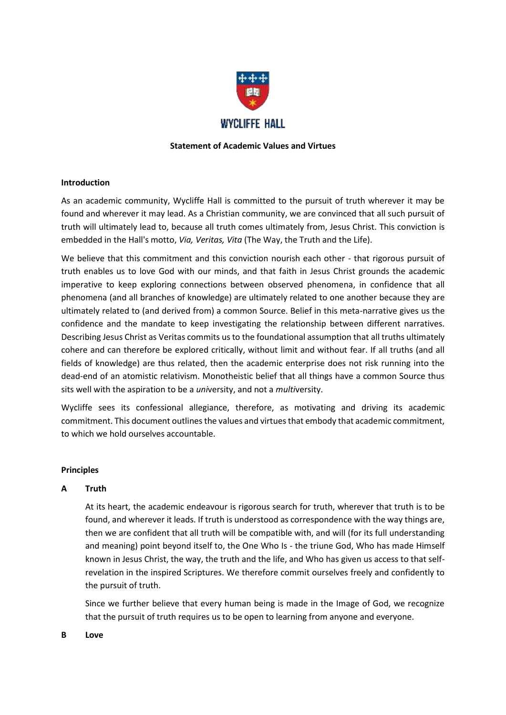

## **Statement of Academic Values and Virtues**

## **Introduction**

As an academic community, Wycliffe Hall is committed to the pursuit of truth wherever it may be found and wherever it may lead. As a Christian community, we are convinced that all such pursuit of truth will ultimately lead to, because all truth comes ultimately from, Jesus Christ. This conviction is embedded in the Hall's motto, *Via, Veritas, Vita* (The Way, the Truth and the Life).

We believe that this commitment and this conviction nourish each other - that rigorous pursuit of truth enables us to love God with our minds, and that faith in Jesus Christ grounds the academic imperative to keep exploring connections between observed phenomena, in confidence that all phenomena (and all branches of knowledge) are ultimately related to one another because they are ultimately related to (and derived from) a common Source. Belief in this meta-narrative gives us the confidence and the mandate to keep investigating the relationship between different narratives. Describing Jesus Christ as Veritas commits us to the foundational assumption that all truths ultimately cohere and can therefore be explored critically, without limit and without fear. If all truths (and all fields of knowledge) are thus related, then the academic enterprise does not risk running into the dead-end of an atomistic relativism. Monotheistic belief that all things have a common Source thus sits well with the aspiration to be a *uni*versity, and not a *multi*versity.

Wycliffe sees its confessional allegiance, therefore, as motivating and driving its academic commitment. This document outlines the values and virtues that embody that academic commitment, to which we hold ourselves accountable.

### **Principles**

# **A Truth**

At its heart, the academic endeavour is rigorous search for truth, wherever that truth is to be found, and wherever it leads. If truth is understood as correspondence with the way things are, then we are confident that all truth will be compatible with, and will (for its full understanding and meaning) point beyond itself to, the One Who Is - the triune God, Who has made Himself known in Jesus Christ, the way, the truth and the life, and Who has given us access to that selfrevelation in the inspired Scriptures. We therefore commit ourselves freely and confidently to the pursuit of truth.

Since we further believe that every human being is made in the Image of God, we recognize that the pursuit of truth requires us to be open to learning from anyone and everyone.

### **B Love**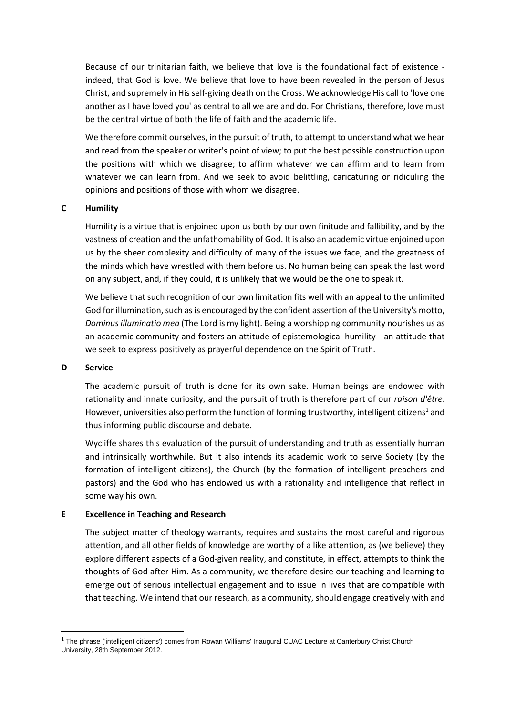Because of our trinitarian faith, we believe that love is the foundational fact of existence indeed, that God is love. We believe that love to have been revealed in the person of Jesus Christ, and supremely in His self-giving death on the Cross. We acknowledge His call to 'love one another as I have loved you' as central to all we are and do. For Christians, therefore, love must be the central virtue of both the life of faith and the academic life.

We therefore commit ourselves, in the pursuit of truth, to attempt to understand what we hear and read from the speaker or writer's point of view; to put the best possible construction upon the positions with which we disagree; to affirm whatever we can affirm and to learn from whatever we can learn from. And we seek to avoid belittling, caricaturing or ridiculing the opinions and positions of those with whom we disagree.

## **C Humility**

Humility is a virtue that is enjoined upon us both by our own finitude and fallibility, and by the vastness of creation and the unfathomability of God. It is also an academic virtue enjoined upon us by the sheer complexity and difficulty of many of the issues we face, and the greatness of the minds which have wrestled with them before us. No human being can speak the last word on any subject, and, if they could, it is unlikely that we would be the one to speak it.

We believe that such recognition of our own limitation fits well with an appeal to the unlimited God for illumination, such as is encouraged by the confident assertion of the University's motto, *Dominus illuminatio mea* (The Lord is my light). Being a worshipping community nourishes us as an academic community and fosters an attitude of epistemological humility - an attitude that we seek to express positively as prayerful dependence on the Spirit of Truth.

#### **D Service**

1

The academic pursuit of truth is done for its own sake. Human beings are endowed with rationality and innate curiosity, and the pursuit of truth is therefore part of our *raison d'être*. However, universities also perform the function of forming trustworthy, intelligent citizens<sup>1</sup> and thus informing public discourse and debate.

Wycliffe shares this evaluation of the pursuit of understanding and truth as essentially human and intrinsically worthwhile. But it also intends its academic work to serve Society (by the formation of intelligent citizens), the Church (by the formation of intelligent preachers and pastors) and the God who has endowed us with a rationality and intelligence that reflect in some way his own.

#### **E Excellence in Teaching and Research**

The subject matter of theology warrants, requires and sustains the most careful and rigorous attention, and all other fields of knowledge are worthy of a like attention, as (we believe) they explore different aspects of a God-given reality, and constitute, in effect, attempts to think the thoughts of God after Him. As a community, we therefore desire our teaching and learning to emerge out of serious intellectual engagement and to issue in lives that are compatible with that teaching. We intend that our research, as a community, should engage creatively with and

<sup>&</sup>lt;sup>1</sup> The phrase ('intelligent citizens') comes from Rowan Williams' Inaugural CUAC Lecture at Canterbury Christ Church University, 28th September 2012.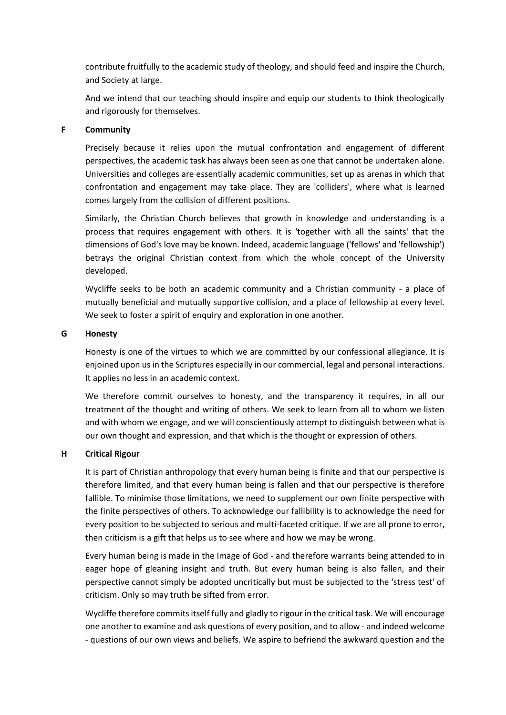contribute fruitfully to the academic study of theology, and should feed and inspire the Church, and Society at large.

And we intend that our teaching should inspire and equip our students to think theologically and rigorously for themselves.

## **F Community**

Precisely because it relies upon the mutual confrontation and engagement of different perspectives, the academic task has always been seen as one that cannot be undertaken alone. Universities and colleges are essentially academic communities, set up as arenas in which that confrontation and engagement may take place. They are 'colliders', where what is learned comes largely from the collision of different positions.

Similarly, the Christian Church believes that growth in knowledge and understanding is a process that requires engagement with others. It is 'together with all the saints' that the dimensions of God's love may be known. Indeed, academic language ('fellows' and 'fellowship') betrays the original Christian context from which the whole concept of the University developed.

Wycliffe seeks to be both an academic community and a Christian community - a place of mutually beneficial and mutually supportive collision, and a place of fellowship at every level. We seek to foster a spirit of enquiry and exploration in one another.

## **G Honesty**

Honesty is one of the virtues to which we are committed by our confessional allegiance. It is enjoined upon us in the Scriptures especially in our commercial, legal and personal interactions. It applies no less in an academic context.

We therefore commit ourselves to honesty, and the transparency it requires, in all our treatment of the thought and writing of others. We seek to learn from all to whom we listen and with whom we engage, and we will conscientiously attempt to distinguish between what is our own thought and expression, and that which is the thought or expression of others.

# **H Critical Rigour**

It is part of Christian anthropology that every human being is finite and that our perspective is therefore limited, and that every human being is fallen and that our perspective is therefore fallible. To minimise those limitations, we need to supplement our own finite perspective with the finite perspectives of others. To acknowledge our fallibility is to acknowledge the need for every position to be subjected to serious and multi-faceted critique. If we are all prone to error, then criticism is a gift that helps us to see where and how we may be wrong.

Every human being is made in the Image of God - and therefore warrants being attended to in eager hope of gleaning insight and truth. But every human being is also fallen, and their perspective cannot simply be adopted uncritically but must be subjected to the 'stress test' of criticism. Only so may truth be sifted from error.

Wycliffe therefore commits itself fully and gladly to rigour in the critical task. We will encourage one another to examine and ask questions of every position, and to allow - and indeed welcome - questions of our own views and beliefs. We aspire to befriend the awkward question and the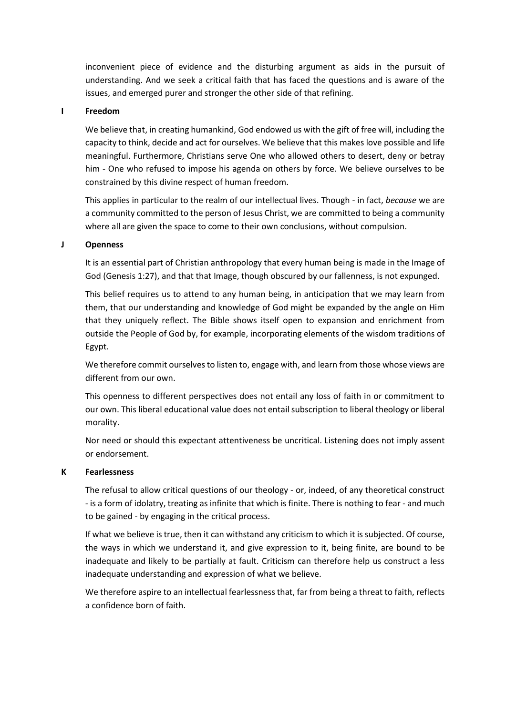inconvenient piece of evidence and the disturbing argument as aids in the pursuit of understanding. And we seek a critical faith that has faced the questions and is aware of the issues, and emerged purer and stronger the other side of that refining.

#### **I Freedom**

We believe that, in creating humankind, God endowed us with the gift of free will, including the capacity to think, decide and act for ourselves. We believe that this makes love possible and life meaningful. Furthermore, Christians serve One who allowed others to desert, deny or betray him - One who refused to impose his agenda on others by force. We believe ourselves to be constrained by this divine respect of human freedom.

This applies in particular to the realm of our intellectual lives. Though - in fact, *because* we are a community committed to the person of Jesus Christ, we are committed to being a community where all are given the space to come to their own conclusions, without compulsion.

#### **J Openness**

It is an essential part of Christian anthropology that every human being is made in the Image of God (Genesis 1:27), and that that Image, though obscured by our fallenness, is not expunged.

This belief requires us to attend to any human being, in anticipation that we may learn from them, that our understanding and knowledge of God might be expanded by the angle on Him that they uniquely reflect. The Bible shows itself open to expansion and enrichment from outside the People of God by, for example, incorporating elements of the wisdom traditions of Egypt.

We therefore commit ourselves to listen to, engage with, and learn from those whose views are different from our own.

This openness to different perspectives does not entail any loss of faith in or commitment to our own. This liberal educational value does not entail subscription to liberal theology or liberal morality.

Nor need or should this expectant attentiveness be uncritical. Listening does not imply assent or endorsement.

#### **K Fearlessness**

The refusal to allow critical questions of our theology - or, indeed, of any theoretical construct - is a form of idolatry, treating as infinite that which is finite. There is nothing to fear - and much to be gained - by engaging in the critical process.

If what we believe is true, then it can withstand any criticism to which it is subjected. Of course, the ways in which we understand it, and give expression to it, being finite, are bound to be inadequate and likely to be partially at fault. Criticism can therefore help us construct a less inadequate understanding and expression of what we believe.

We therefore aspire to an intellectual fearlessness that, far from being a threat to faith, reflects a confidence born of faith.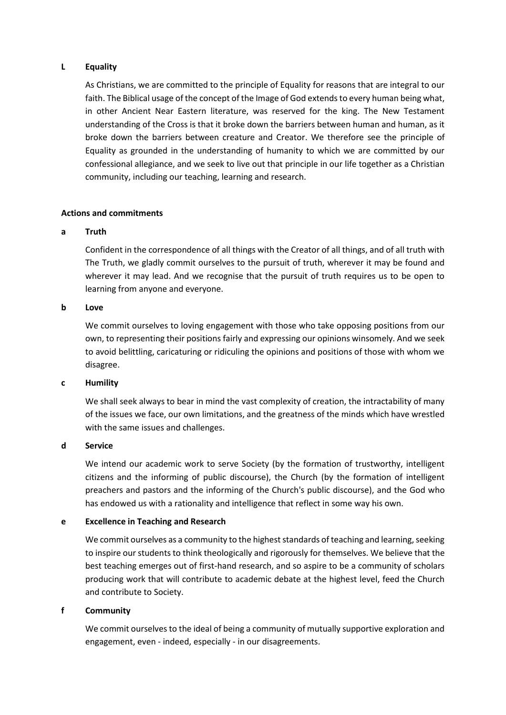## **L Equality**

As Christians, we are committed to the principle of Equality for reasons that are integral to our faith. The Biblical usage of the concept of the Image of God extends to every human being what, in other Ancient Near Eastern literature, was reserved for the king. The New Testament understanding of the Cross is that it broke down the barriers between human and human, as it broke down the barriers between creature and Creator. We therefore see the principle of Equality as grounded in the understanding of humanity to which we are committed by our confessional allegiance, and we seek to live out that principle in our life together as a Christian community, including our teaching, learning and research.

## **Actions and commitments**

## **a Truth**

Confident in the correspondence of all things with the Creator of all things, and of all truth with The Truth, we gladly commit ourselves to the pursuit of truth, wherever it may be found and wherever it may lead. And we recognise that the pursuit of truth requires us to be open to learning from anyone and everyone.

### **b Love**

We commit ourselves to loving engagement with those who take opposing positions from our own, to representing their positions fairly and expressing our opinions winsomely. And we seek to avoid belittling, caricaturing or ridiculing the opinions and positions of those with whom we disagree.

### **c Humility**

We shall seek always to bear in mind the vast complexity of creation, the intractability of many of the issues we face, our own limitations, and the greatness of the minds which have wrestled with the same issues and challenges.

### **d Service**

We intend our academic work to serve Society (by the formation of trustworthy, intelligent citizens and the informing of public discourse), the Church (by the formation of intelligent preachers and pastors and the informing of the Church's public discourse), and the God who has endowed us with a rationality and intelligence that reflect in some way his own.

# **e Excellence in Teaching and Research**

We commit ourselves as a community to the highest standards of teaching and learning, seeking to inspire our students to think theologically and rigorously for themselves. We believe that the best teaching emerges out of first-hand research, and so aspire to be a community of scholars producing work that will contribute to academic debate at the highest level, feed the Church and contribute to Society.

### **f Community**

We commit ourselves to the ideal of being a community of mutually supportive exploration and engagement, even - indeed, especially - in our disagreements.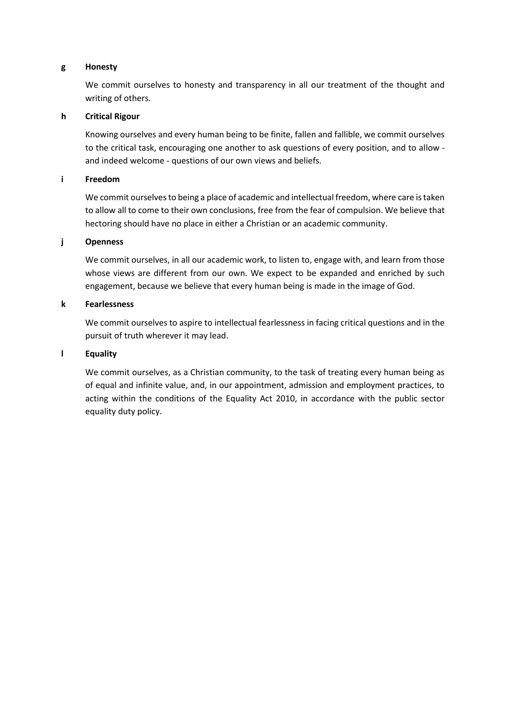## **g Honesty**

We commit ourselves to honesty and transparency in all our treatment of the thought and writing of others.

## **h Critical Rigour**

Knowing ourselves and every human being to be finite, fallen and fallible, we commit ourselves to the critical task, encouraging one another to ask questions of every position, and to allow and indeed welcome - questions of our own views and beliefs.

## **i Freedom**

We commit ourselves to being a place of academic and intellectual freedom, where care is taken to allow all to come to their own conclusions, free from the fear of compulsion. We believe that hectoring should have no place in either a Christian or an academic community.

## **j Openness**

We commit ourselves, in all our academic work, to listen to, engage with, and learn from those whose views are different from our own. We expect to be expanded and enriched by such engagement, because we believe that every human being is made in the image of God.

## **k Fearlessness**

We commit ourselves to aspire to intellectual fearlessness in facing critical questions and in the pursuit of truth wherever it may lead.

## **l Equality**

We commit ourselves, as a Christian community, to the task of treating every human being as of equal and infinite value, and, in our appointment, admission and employment practices, to acting within the conditions of the Equality Act 2010, in accordance with the public sector equality duty policy.